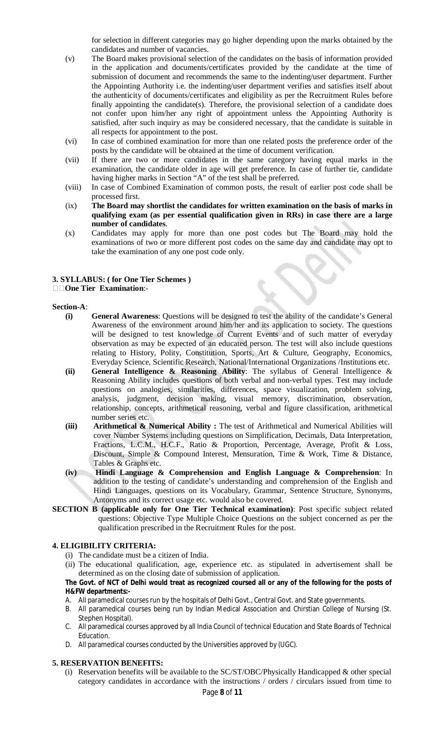for selection in different categories may go higher depending upon the marks obtained by the candidates and number of vacancies.

- (v) The Board makes provisional selection of the candidates on the basis of information provided in the application and documents/certificates provided by the candidate at the time of submission of document and recommends the same to the indenting/user department. Further the Appointing Authority i.e. the indenting/user department verifies and satisfies itself about the authenticity of documents/certificates and eligibility as per the Recruitment Rules before finally appointing the candidate(s). Therefore, the provisional selection of a candidate does not confer upon him/her any right of appointment unless the Appointing Authority is satisfied, after such inquiry as may be considered necessary, that the candidate is suitable in all respects for appointment to the post.
- (vi) In case of combined examination for more than one related posts the preference order of the posts by the candidate will be obtained at the time of document verification.
- (vii) If there are two or more candidates in the same category having equal marks in the examination, the candidate older in age will get preference. In case of further tie, candidate having higher marks in Section "A" of the test shall be preferred.
- (viii) In case of Combined Examination of common posts, the result of earlier post code shall be processed first.
- (ix) **The Board may shortlist the candidates for written examination on the basis of marks in qualifying exam (as per essential qualification given in RRs) in case there are a large number of candidates**.
- (x) Candidates may apply for more than one post codes but The Board may hold the examinations of two or more different post codes on the same day and candidate may opt to take the examination of any one post code only.

#### **3. SYLLABUS: ( for One Tier Schemes ) One Tier Examination**:-

#### **Section-A**:

- **(i) General Awareness**: Questions will be designed to test the ability of the candidate's General Awareness of the environment around him/her and its application to society. The questions will be designed to test knowledge of Current Events and of such matter of everyday observation as may be expected of an educated person. The test will also include questions relating to History, Polity, Constitution, Sports, Art & Culture, Geography, Economics, Everyday Science, Scientific Research, National/International Organizations /Institutions etc.
- **(ii) General Intelligence & Reasoning Ability**: The syllabus of General Intelligence & Reasoning Ability includes questions of both verbal and non-verbal types. Test may include questions on analogies, similarities, differences, space visualization, problem solving, analysis, judgment, decision making, visual memory, discrimination, observation, relationship, concepts, arithmetical reasoning, verbal and figure classification, arithmetical number series etc.
- **(iii) Arithmetical & Numerical Ability :** The test of Arithmetical and Numerical Abilities will cover Number Systems including questions on Simplification, Decimals, Data Interpretation, Fractions, L.C.M., H.C.F., Ratio & Proportion, Percentage, Average, Profit & Loss, Discount, Simple & Compound Interest, Mensuration, Time & Work, Time & Distance, Tables & Graphs etc.
- **(iv) Hindi Language & Comprehension and English Language & Comprehension**: In addition to the testing of candidate's understanding and comprehension of the English and Hindi Languages, questions on its Vocabulary, Grammar, Sentence Structure, Synonyms, Antonyms and its correct usage etc. would also be covered.
- **SECTION B (applicable only for One Tier Technical examination)**: Post specific subject related questions: Objective Type Multiple Choice Questions on the subject concerned as per the qualification prescribed in the Recruitment Rules for the post.

# **4. ELIGIBILITY CRITERIA:**

- (i) The candidate must be a citizen of India.
- (ii) The educational qualification, age, experience etc. as stipulated in advertisement shall be determined as on the closing date of submission of application.

### **The Govt. of NCT of Delhi would treat as recognized coursed all or any of the following for the posts of H&FW departments:-**

- A. All paramedical courses run by the hospitals of Delhi Govt., Central Govt. and State governments.
- B. All paramedical courses being run by Indian Medical Association and Chirstian College of Nursing (St. Stephen Hospital).
- C. All paramedical courses approved by all India Council of technical Education and State Boards of Technical Education.
- D. All paramedical courses conducted by the Universities approved by (UGC).

### **5. RESERVATION BENEFITS:**

(i) Reservation benefits will be available to the  $SC/ST/OBC/Physically$  Handicapped & other special category candidates in accordance with the instructions / orders / circulars issued from time to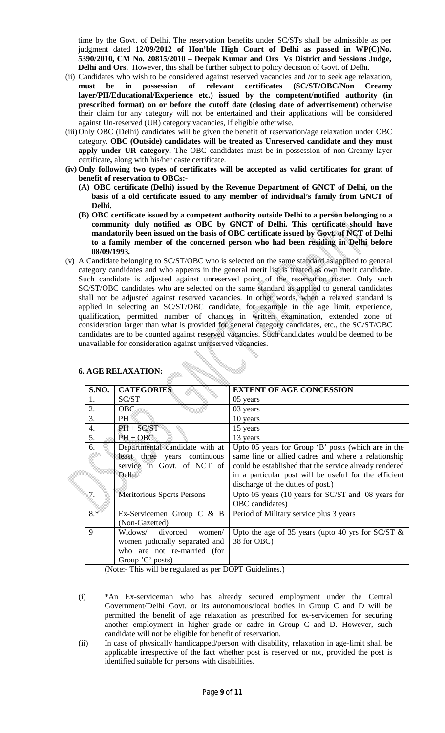time by the Govt. of Delhi. The reservation benefits under SC/STs shall be admissible as per judgment dated 12/09/2012 of Hon'ble High Court of Delhi as passed in WP(C)No. **5390/2010, CM No. 20815/2010 – Deepak Kumar and Ors Vs District and Sessions Judge, Delhi and Ors.** However, this shall be further subject to policy decision of Govt. of Delhi.

- (ii) Candidates who wish to be considered against reserved vacancies and /or to seek age relaxation, **must be in possession of relevant certificates (SC/ST/OBC/Non Creamy layer/PH/Educational/Experience etc.) issued by the competent/notified authority (in prescribed format) on or before the cutoff date (closing date of advertisement)** otherwise their claim for any category will not be entertained and their applications will be considered against Un-reserved (UR) category vacancies, if eligible otherwise.
- (iii) Only OBC (Delhi) candidates will be given the benefit of reservation/age relaxation under OBC category. **OBC (Outside) candidates will be treated as Unreserved candidate and they must apply under UR category.** The OBC candidates must be in possession of non-Creamy layer certificate**,** along with his/her caste certificate.
- **(iv) Only following two types of certificates will be accepted as valid certificates for grant of benefit of reservation to OBCs:-**
	- **(A) OBC certificate (Delhi) issued by the Revenue Department of GNCT of Delhi, on the basis of a old certificate issued to any member of individual's family from GNCT of Delhi.**
	- **(B) OBC certificate issued by a competent authority outside Delhi to a person belonging to a community duly notified as OBC by GNCT of Delhi. This certificate should have mandatorily been issued on the basis of OBC certificate issued by Govt. of NCT of Delhi to a family member of the concerned person who had been residing in Delhi before 08/09/1993.**
- (v) A Candidate belonging to SC/ST/OBC who is selected on the same standard as applied to general category candidates and who appears in the general merit list is treated as own merit candidate. Such candidate is adjusted against unreserved point of the reservation roster. Only such SC/ST/OBC candidates who are selected on the same standard as applied to general candidates shall not be adjusted against reserved vacancies. In other words, when a relaxed standard is applied in selecting an SC/ST/OBC candidate, for example in the age limit, experience, qualification, permitted number of chances in written examination, extended zone of consideration larger than what is provided for general category candidates, etc., the SC/ST/OBC candidates are to be counted against reserved vacancies. Such candidates would be deemed to be unavailable for consideration against unreserved vacancies.

| <b>S.NO.</b>     | <b>CATEGORIES</b>                                                                                               | <b>EXTENT OF AGE CONCESSION</b>                                                                                                                                                                                                                                    |
|------------------|-----------------------------------------------------------------------------------------------------------------|--------------------------------------------------------------------------------------------------------------------------------------------------------------------------------------------------------------------------------------------------------------------|
| 1.               | SC/ST                                                                                                           | 05 years                                                                                                                                                                                                                                                           |
| 2.               | <b>OBC</b>                                                                                                      | 03 years                                                                                                                                                                                                                                                           |
| 3.               | PH <sup>-</sup>                                                                                                 | 10 years                                                                                                                                                                                                                                                           |
| $\overline{4}$ . | $PH + SC/ST$                                                                                                    | 15 years                                                                                                                                                                                                                                                           |
| 5.               | $PH + OBC$                                                                                                      | 13 years                                                                                                                                                                                                                                                           |
| 6.               | Departmental candidate with at<br>least three years continuous<br>service in Govt. of NCT of<br>Delhi.          | Upto 05 years for Group 'B' posts (which are in the<br>same line or allied cadres and where a relationship<br>could be established that the service already rendered<br>in a particular post will be useful for the efficient<br>discharge of the duties of post.) |
| 7.               | Meritorious Sports Persons                                                                                      | Upto 05 years (10 years for SC/ST and 08 years for<br>OBC candidates)                                                                                                                                                                                              |
| $8.*$            | Ex-Servicemen Group C & B<br>(Non-Gazetted)                                                                     | Period of Military service plus 3 years                                                                                                                                                                                                                            |
| 9                | Widows/ divorced<br>women/<br>women judicially separated and<br>who are not re-married (for<br>Group 'C' posts) | Upto the age of 35 years (upto 40 yrs for SC/ST $\&$<br>38 for OBC)                                                                                                                                                                                                |

# **6. AGE RELAXATION:**

(Note:- This will be regulated as per DOPT Guidelines.)

- (i) \*An Ex-serviceman who has already secured employment under the Central Government/Delhi Govt. or its autonomous/local bodies in Group C and D will be permitted the benefit of age relaxation as prescribed for ex-servicemen for securing another employment in higher grade or cadre in Group C and D. However, such candidate will not be eligible for benefit of reservation.
- (ii) In case of physically handicapped/person with disability, relaxation in age-limit shall be applicable irrespective of the fact whether post is reserved or not, provided the post is identified suitable for persons with disabilities.